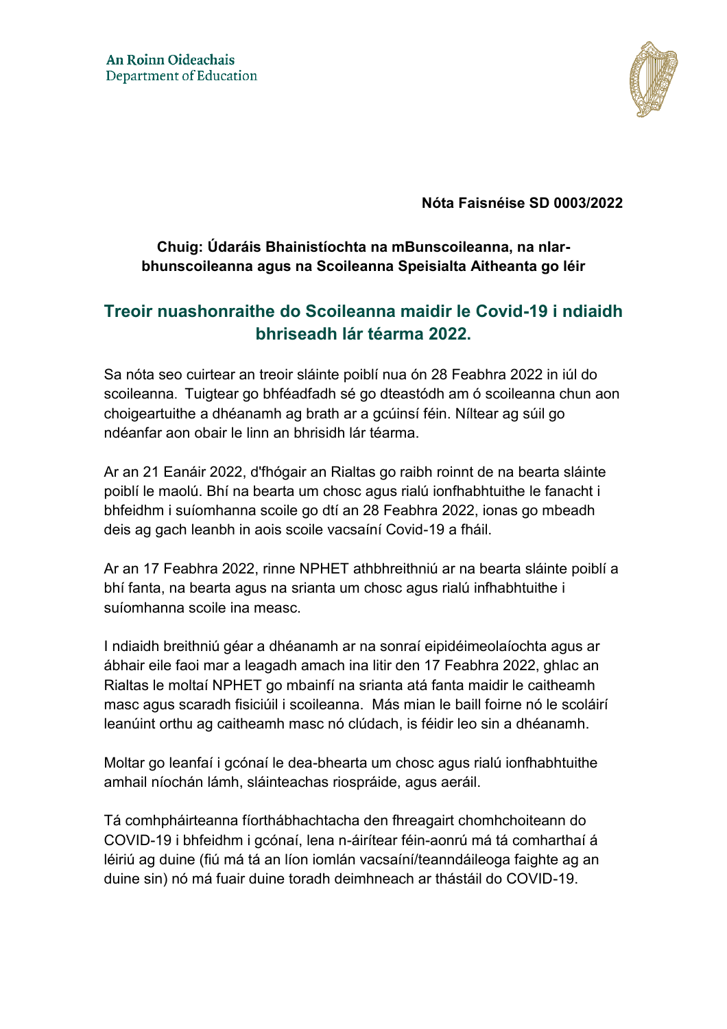

**Nóta Faisnéise SD 0003/2022**

# **Chuig: Údaráis Bhainistíochta na mBunscoileanna, na nIarbhunscoileanna agus na Scoileanna Speisialta Aitheanta go léir**

# **Treoir nuashonraithe do Scoileanna maidir le Covid-19 i ndiaidh bhriseadh lár téarma 2022.**

Sa nóta seo cuirtear an treoir sláinte poiblí nua ón 28 Feabhra 2022 in iúl do scoileanna. Tuigtear go bhféadfadh sé go dteastódh am ó scoileanna chun aon choigeartuithe a dhéanamh ag brath ar a gcúinsí féin. Níltear ag súil go ndéanfar aon obair le linn an bhrisidh lár téarma.

Ar an 21 Eanáir 2022, d'fhógair an Rialtas go raibh roinnt de na bearta sláinte poiblí le maolú. Bhí na bearta um chosc agus rialú ionfhabhtuithe le fanacht i bhfeidhm i suíomhanna scoile go dtí an 28 Feabhra 2022, ionas go mbeadh deis ag gach leanbh in aois scoile vacsaíní Covid-19 a fháil.

Ar an 17 Feabhra 2022, rinne NPHET athbhreithniú ar na bearta sláinte poiblí a bhí fanta, na bearta agus na srianta um chosc agus rialú infhabhtuithe i suíomhanna scoile ina measc.

I ndiaidh breithniú géar a dhéanamh ar na sonraí eipidéimeolaíochta agus ar ábhair eile faoi mar a leagadh amach ina litir den 17 Feabhra 2022, ghlac an Rialtas le moltaí NPHET go mbainfí na srianta atá fanta maidir le caitheamh masc agus scaradh fisiciúil i scoileanna. Más mian le baill foirne nó le scoláirí leanúint orthu ag caitheamh masc nó clúdach, is féidir leo sin a dhéanamh.

Moltar go leanfaí i gcónaí le dea-bhearta um chosc agus rialú ionfhabhtuithe amhail níochán lámh, sláinteachas riospráide, agus aeráil.

Tá comhpháirteanna fíorthábhachtacha den fhreagairt chomhchoiteann do COVID-19 i bhfeidhm i gcónaí, lena n-áirítear féin-aonrú má tá comharthaí á léiriú ag duine (fiú má tá an líon iomlán vacsaíní/teanndáileoga faighte ag an duine sin) nó má fuair duine toradh deimhneach ar thástáil do COVID-19.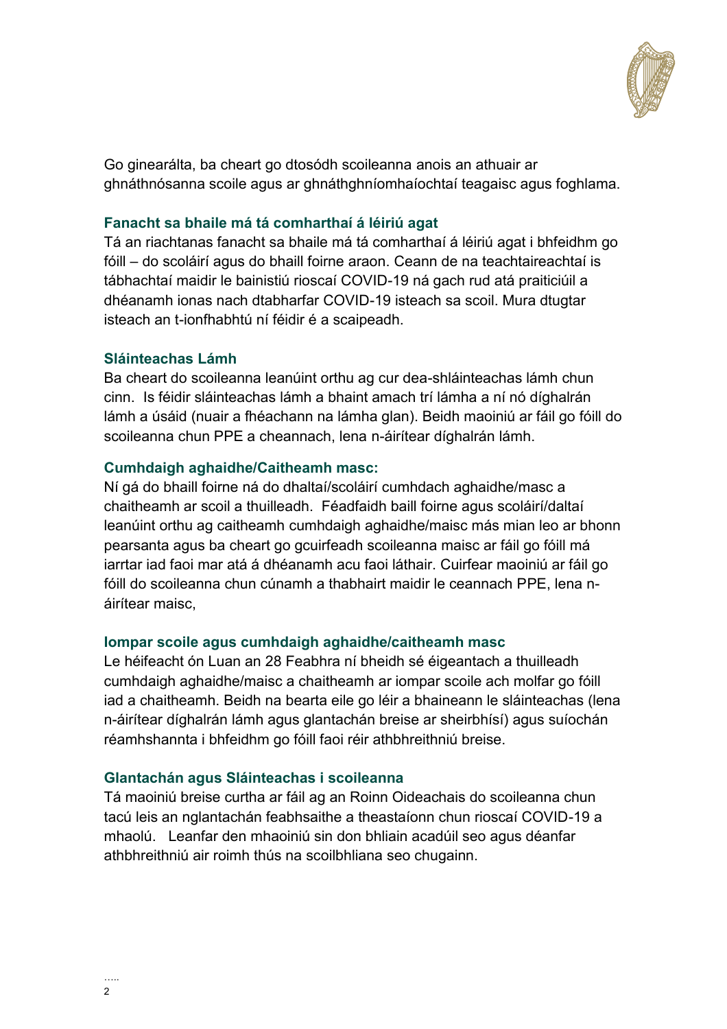

Go ginearálta, ba cheart go dtosódh scoileanna anois an athuair ar ghnáthnósanna scoile agus ar ghnáthghníomhaíochtaí teagaisc agus foghlama.

## **Fanacht sa bhaile má tá comharthaí á léiriú agat**

Tá an riachtanas fanacht sa bhaile má tá comharthaí á léiriú agat i bhfeidhm go fóill – do scoláirí agus do bhaill foirne araon. Ceann de na teachtaireachtaí is tábhachtaí maidir le bainistiú rioscaí COVID-19 ná gach rud atá praiticiúil a dhéanamh ionas nach dtabharfar COVID-19 isteach sa scoil. Mura dtugtar isteach an t-ionfhabhtú ní féidir é a scaipeadh.

### **Sláinteachas Lámh**

Ba cheart do scoileanna leanúint orthu ag cur dea-shláinteachas lámh chun cinn. Is féidir sláinteachas lámh a bhaint amach trí lámha a ní nó díghalrán lámh a úsáid (nuair a fhéachann na lámha glan). Beidh maoiniú ar fáil go fóill do scoileanna chun PPE a cheannach, lena n-áirítear díghalrán lámh.

### **Cumhdaigh aghaidhe/Caitheamh masc:**

Ní gá do bhaill foirne ná do dhaltaí/scoláirí cumhdach aghaidhe/masc a chaitheamh ar scoil a thuilleadh. Féadfaidh baill foirne agus scoláirí/daltaí leanúint orthu ag caitheamh cumhdaigh aghaidhe/maisc más mian leo ar bhonn pearsanta agus ba cheart go gcuirfeadh scoileanna maisc ar fáil go fóill má iarrtar iad faoi mar atá á dhéanamh acu faoi láthair. Cuirfear maoiniú ar fáil go fóill do scoileanna chun cúnamh a thabhairt maidir le ceannach PPE, lena náirítear maisc,

### **Iompar scoile agus cumhdaigh aghaidhe/caitheamh masc**

Le héifeacht ón Luan an 28 Feabhra ní bheidh sé éigeantach a thuilleadh cumhdaigh aghaidhe/maisc a chaitheamh ar iompar scoile ach molfar go fóill iad a chaitheamh. Beidh na bearta eile go léir a bhaineann le sláinteachas (lena n-áirítear díghalrán lámh agus glantachán breise ar sheirbhísí) agus suíochán réamhshannta i bhfeidhm go fóill faoi réir athbhreithniú breise.

### **Glantachán agus Sláinteachas i scoileanna**

Tá maoiniú breise curtha ar fáil ag an Roinn Oideachais do scoileanna chun tacú leis an nglantachán feabhsaithe a theastaíonn chun rioscaí COVID-19 a mhaolú. Leanfar den mhaoiniú sin don bhliain acadúil seo agus déanfar athbhreithniú air roimh thús na scoilbhliana seo chugainn.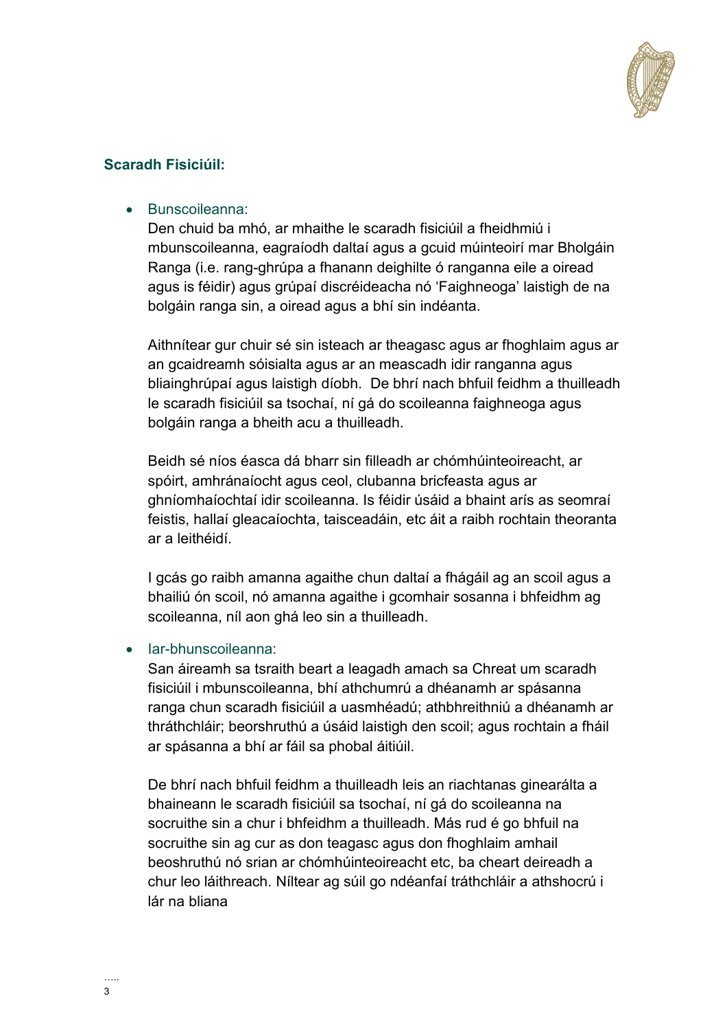

# **Scaradh Fisiciúil:**

Bunscoileanna:

Den chuid ba mhó, ar mhaithe le scaradh fisiciúil a fheidhmiú i mbunscoileanna, eagraíodh daltaí agus a gcuid múinteoirí mar Bholgáin Ranga (i.e. rang-ghrúpa a fhanann deighilte ó ranganna eile a oiread agus is féidir) agus grúpaí discréideacha nó 'Faighneoga' laistigh de na bolgáin ranga sin, a oiread agus a bhí sin indéanta.

Aithnítear gur chuir sé sin isteach ar theagasc agus ar fhoghlaim agus ar an gcaidreamh sóisialta agus ar an meascadh idir ranganna agus bliainghrúpaí agus laistigh díobh. De bhrí nach bhfuil feidhm a thuilleadh le scaradh fisiciúil sa tsochaí, ní gá do scoileanna faighneoga agus bolgáin ranga a bheith acu a thuilleadh.

Beidh sé níos éasca dá bharr sin filleadh ar chómhúinteoireacht, ar spóirt, amhránaíocht agus ceol, clubanna bricfeasta agus ar ghníomhaíochtaí idir scoileanna. Is féidir úsáid a bhaint arís as seomraí feistis, hallaí gleacaíochta, taisceadáin, etc áit a raibh rochtain theoranta ar a leithéidí.

I gcás go raibh amanna agaithe chun daltaí a fhágáil ag an scoil agus a bhailiú ón scoil, nó amanna agaithe i gcomhair sosanna i bhfeidhm ag scoileanna, níl aon ghá leo sin a thuilleadh.

## • lar-bhunscoileanna:

San áireamh sa tsraith beart a leagadh amach sa Chreat um scaradh fisiciúil i mbunscoileanna, bhí athchumrú a dhéanamh ar spásanna ranga chun scaradh fisiciúil a uasmhéadú; athbhreithniú a dhéanamh ar thráthchláir; beorshruthú a úsáid laistigh den scoil; agus rochtain a fháil ar spásanna a bhí ar fáil sa phobal áitiúil.

De bhrí nach bhfuil feidhm a thuilleadh leis an riachtanas ginearálta a bhaineann le scaradh fisiciúil sa tsochaí, ní gá do scoileanna na socruithe sin a chur i bhfeidhm a thuilleadh. Más rud é go bhfuil na socruithe sin ag cur as don teagasc agus don fhoghlaim amhail beoshruthú nó srian ar chómhúinteoireacht etc, ba cheart deireadh a chur leo láithreach. Níltear ag súil go ndéanfaí tráthchláir a athshocrú i lár na bliana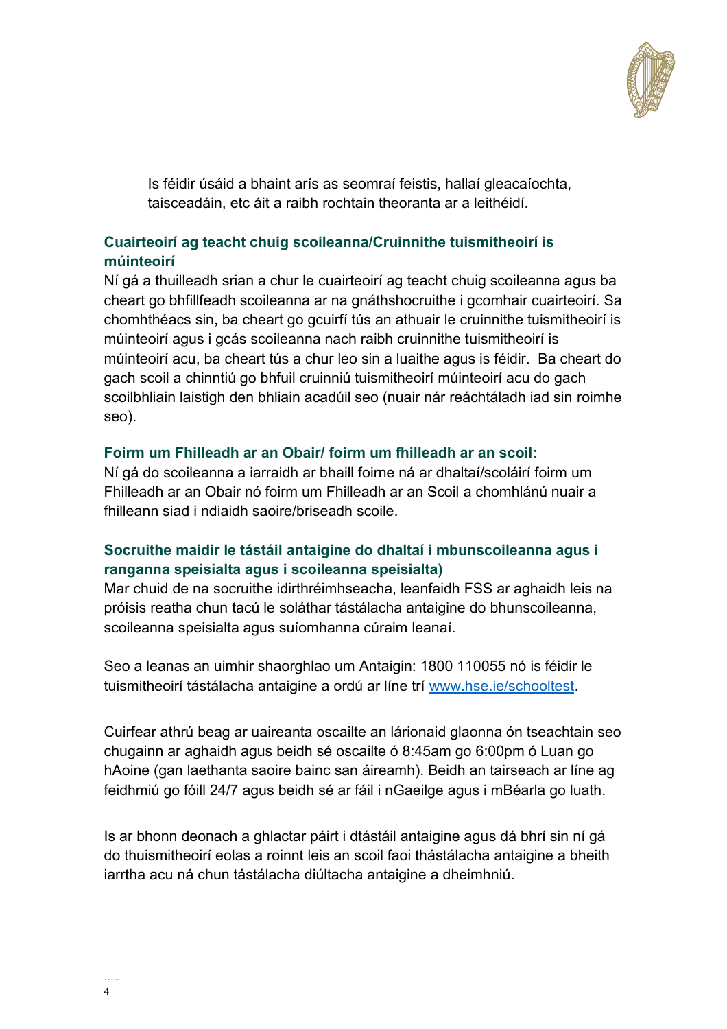

Is féidir úsáid a bhaint arís as seomraí feistis, hallaí gleacaíochta, taisceadáin, etc áit a raibh rochtain theoranta ar a leithéidí.

# **Cuairteoirí ag teacht chuig scoileanna/Cruinnithe tuismitheoirí is múinteoirí**

Ní gá a thuilleadh srian a chur le cuairteoirí ag teacht chuig scoileanna agus ba cheart go bhfillfeadh scoileanna ar na gnáthshocruithe i gcomhair cuairteoirí. Sa chomhthéacs sin, ba cheart go gcuirfí tús an athuair le cruinnithe tuismitheoirí is múinteoirí agus i gcás scoileanna nach raibh cruinnithe tuismitheoirí is múinteoirí acu, ba cheart tús a chur leo sin a luaithe agus is féidir. Ba cheart do gach scoil a chinntiú go bhfuil cruinniú tuismitheoirí múinteoirí acu do gach scoilbhliain laistigh den bhliain acadúil seo (nuair nár reáchtáladh iad sin roimhe seo).

### **Foirm um Fhilleadh ar an Obair/ foirm um fhilleadh ar an scoil:**

Ní gá do scoileanna a iarraidh ar bhaill foirne ná ar dhaltaí/scoláirí foirm um Fhilleadh ar an Obair nó foirm um Fhilleadh ar an Scoil a chomhlánú nuair a fhilleann siad i ndiaidh saoire/briseadh scoile.

## **Socruithe maidir le tástáil antaigine do dhaltaí i mbunscoileanna agus i ranganna speisialta agus i scoileanna speisialta)**

Mar chuid de na socruithe idirthréimhseacha, leanfaidh FSS ar aghaidh leis na próisis reatha chun tacú le soláthar tástálacha antaigine do bhunscoileanna, scoileanna speisialta agus suíomhanna cúraim leanaí.

Seo a leanas an uimhir shaorghlao um Antaigin: 1800 110055 nó is féidir le tuismitheoirí tástálacha antaigine a ordú ar líne trí [www.hse.ie/schooltest.](http://www.hse.ie/schooltest)

Cuirfear athrú beag ar uaireanta oscailte an lárionaid glaonna ón tseachtain seo chugainn ar aghaidh agus beidh sé oscailte ó 8:45am go 6:00pm ó Luan go hAoine (gan laethanta saoire bainc san áireamh). Beidh an tairseach ar líne ag feidhmiú go fóill 24/7 agus beidh sé ar fáil i nGaeilge agus i mBéarla go luath.

Is ar bhonn deonach a ghlactar páirt i dtástáil antaigine agus dá bhrí sin ní gá do thuismitheoirí eolas a roinnt leis an scoil faoi thástálacha antaigine a bheith iarrtha acu ná chun tástálacha diúltacha antaigine a dheimhniú.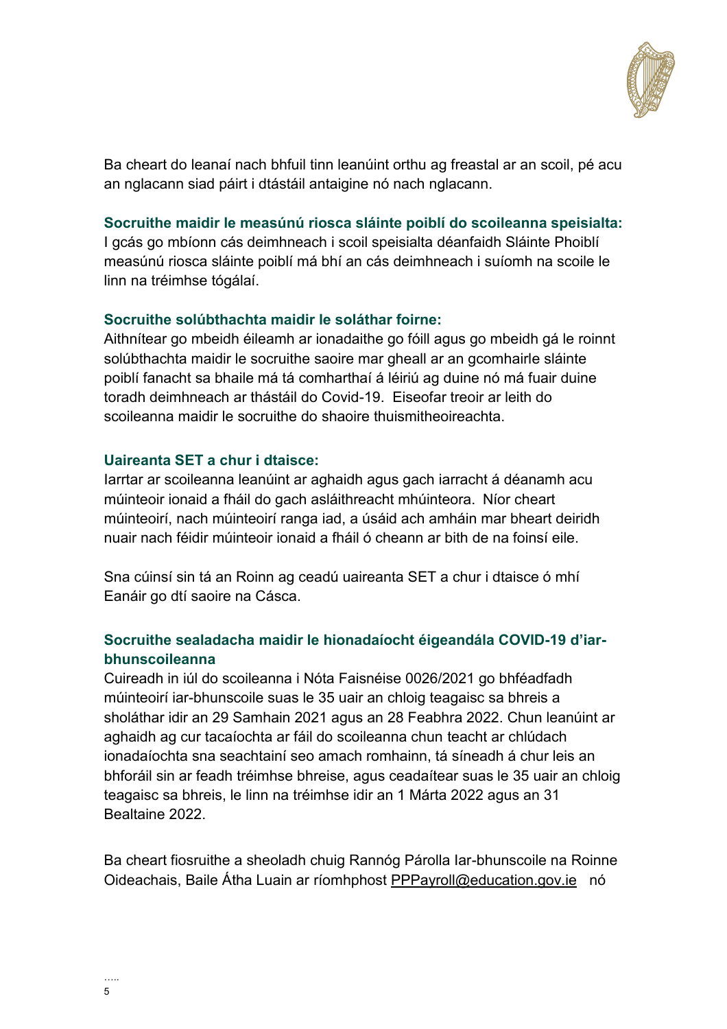

Ba cheart do leanaí nach bhfuil tinn leanúint orthu ag freastal ar an scoil, pé acu an nglacann siad páirt i dtástáil antaigine nó nach nglacann.

### **Socruithe maidir le measúnú riosca sláinte poiblí do scoileanna speisialta:**

I gcás go mbíonn cás deimhneach i scoil speisialta déanfaidh Sláinte Phoiblí measúnú riosca sláinte poiblí má bhí an cás deimhneach i suíomh na scoile le linn na tréimhse tógálaí.

### **Socruithe solúbthachta maidir le soláthar foirne:**

Aithnítear go mbeidh éileamh ar ionadaithe go fóill agus go mbeidh gá le roinnt solúbthachta maidir le socruithe saoire mar gheall ar an gcomhairle sláinte poiblí fanacht sa bhaile má tá comharthaí á léiriú ag duine nó má fuair duine toradh deimhneach ar thástáil do Covid-19. Eiseofar treoir ar leith do scoileanna maidir le socruithe do shaoire thuismitheoireachta.

### **Uaireanta SET a chur i dtaisce:**

Iarrtar ar scoileanna leanúint ar aghaidh agus gach iarracht á déanamh acu múinteoir ionaid a fháil do gach asláithreacht mhúinteora. Níor cheart múinteoirí, nach múinteoirí ranga iad, a úsáid ach amháin mar bheart deiridh nuair nach féidir múinteoir ionaid a fháil ó cheann ar bith de na foinsí eile.

Sna cúinsí sin tá an Roinn ag ceadú uaireanta SET a chur i dtaisce ó mhí Eanáir go dtí saoire na Cásca.

# **Socruithe sealadacha maidir le hionadaíocht éigeandála COVID-19 d'iarbhunscoileanna**

Cuireadh in iúl do scoileanna i Nóta Faisnéise 0026/2021 go bhféadfadh múinteoirí iar-bhunscoile suas le 35 uair an chloig teagaisc sa bhreis a sholáthar idir an 29 Samhain 2021 agus an 28 Feabhra 2022. Chun leanúint ar aghaidh ag cur tacaíochta ar fáil do scoileanna chun teacht ar chlúdach ionadaíochta sna seachtainí seo amach romhainn, tá síneadh á chur leis an bhforáil sin ar feadh tréimhse bhreise, agus ceadaítear suas le 35 uair an chloig teagaisc sa bhreis, le linn na tréimhse idir an 1 Márta 2022 agus an 31 Bealtaine 2022.

Ba cheart fiosruithe a sheoladh chuig Rannóg Párolla Iar-bhunscoile na Roinne Oideachais, Baile Átha Luain ar ríomhphost [PPPayroll@education.gov.ie](mailto:PPPayroll@education.gov.ie) nó